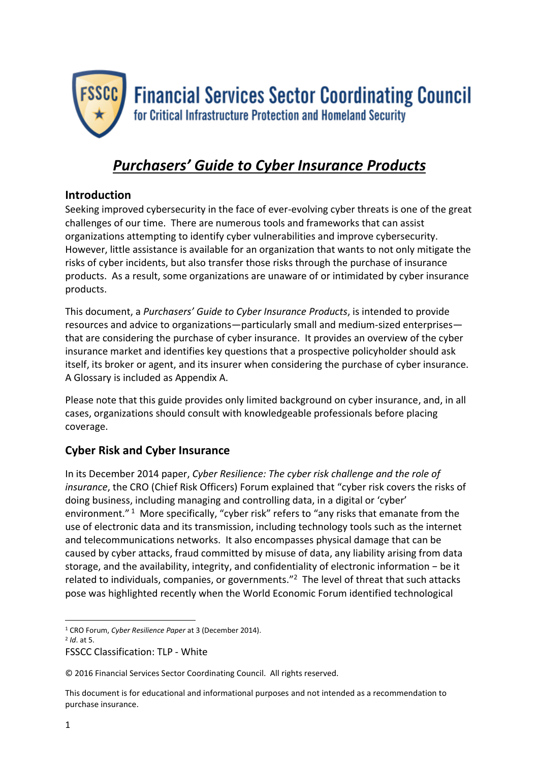

# *Purchasers' Guide to Cyber Insurance Products*

# **Introduction**

Seeking improved cybersecurity in the face of ever-evolving cyber threats is one of the great challenges of our time. There are numerous tools and frameworks that can assist organizations attempting to identify cyber vulnerabilities and improve cybersecurity. However, little assistance is available for an organization that wants to not only mitigate the risks of cyber incidents, but also transfer those risks through the purchase of insurance products. As a result, some organizations are unaware of or intimidated by cyber insurance products.

This document, a *Purchasers' Guide to Cyber Insurance Products*, is intended to provide resources and advice to organizations—particularly small and medium-sized enterprises that are considering the purchase of cyber insurance. It provides an overview of the cyber insurance market and identifies key questions that a prospective policyholder should ask itself, its broker or agent, and its insurer when considering the purchase of cyber insurance. A Glossary is included as Appendix A.

Please note that this guide provides only limited background on cyber insurance, and, in all cases, organizations should consult with knowledgeable professionals before placing coverage.

# **Cyber Risk and Cyber Insurance**

In its December 2014 paper, *Cyber Resilience: The cyber risk challenge and the role of insurance*, the CRO (Chief Risk Officers) Forum explained that "cyber risk covers the risks of doing business, including managing and controlling data, in a digital or 'cyber' environment."<sup>1</sup> More specifically, "cyber risk" refers to "any risks that emanate from the use of electronic data and its transmission, including technology tools such as the internet and telecommunications networks. It also encompasses physical damage that can be caused by cyber attacks, fraud committed by misuse of data, any liability arising from data storage, and the availability, integrity, and confidentiality of electronic information − be it related to individuals, companies, or governments."<sup>2</sup> The level of threat that such attacks pose was highlighted recently when the World Economic Forum identified technological

2 *Id*. at 5.

**.** 

FSSCC Classification: TLP - White

<sup>1</sup> CRO Forum, *Cyber Resilience Paper* at 3 (December 2014).

<sup>© 2016</sup> Financial Services Sector Coordinating Council. All rights reserved.

This document is for educational and informational purposes and not intended as a recommendation to purchase insurance.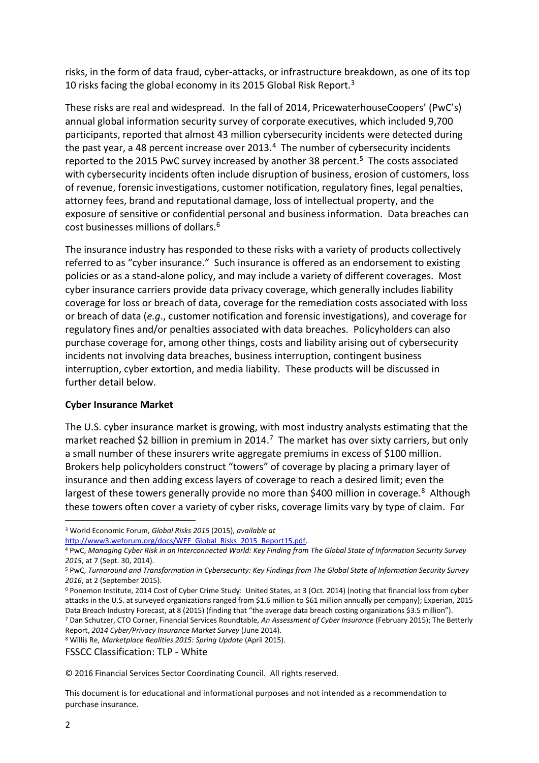risks, in the form of data fraud, cyber-attacks, or infrastructure breakdown, as one of its top 10 risks facing the global economy in its 2015 Global Risk Report.<sup>3</sup>

These risks are real and widespread. In the fall of 2014, PricewaterhouseCoopers' (PwC's) annual global information security survey of corporate executives, which included 9,700 participants, reported that almost 43 million cybersecurity incidents were detected during the past year, a 48 percent increase over 2013. $4$  The number of cybersecurity incidents reported to the 2015 PwC survey increased by another 38 percent.<sup>5</sup> The costs associated with cybersecurity incidents often include disruption of business, erosion of customers, loss of revenue, forensic investigations, customer notification, regulatory fines, legal penalties, attorney fees, brand and reputational damage, loss of intellectual property, and the exposure of sensitive or confidential personal and business information. Data breaches can cost businesses millions of dollars.<sup>6</sup>

The insurance industry has responded to these risks with a variety of products collectively referred to as "cyber insurance." Such insurance is offered as an endorsement to existing policies or as a stand-alone policy, and may include a variety of different coverages. Most cyber insurance carriers provide data privacy coverage, which generally includes liability coverage for loss or breach of data, coverage for the remediation costs associated with loss or breach of data (*e.g*., customer notification and forensic investigations), and coverage for regulatory fines and/or penalties associated with data breaches. Policyholders can also purchase coverage for, among other things, costs and liability arising out of cybersecurity incidents not involving data breaches, business interruption, contingent business interruption, cyber extortion, and media liability. These products will be discussed in further detail below.

#### **Cyber Insurance Market**

The U.S. cyber insurance market is growing, with most industry analysts estimating that the market reached \$2 billion in premium in 2014.<sup>7</sup> The market has over sixty carriers, but only a small number of these insurers write aggregate premiums in excess of \$100 million. Brokers help policyholders construct "towers" of coverage by placing a primary layer of insurance and then adding excess layers of coverage to reach a desired limit; even the largest of these towers generally provide no more than \$400 million in coverage.<sup>8</sup> Although these towers often cover a variety of cyber risks, coverage limits vary by type of claim. For

[http://www3.weforum.org/docs/WEF\\_Global\\_Risks\\_2015\\_Report15.pdf.](http://www3.weforum.org/docs/WEF_Global_Risks_2015_Report15.pdf)

<sup>8</sup> Willis Re, *Marketplace Realities 2015: Spring Update* (April 2015).

FSSCC Classification: TLP - White

© 2016 Financial Services Sector Coordinating Council. All rights reserved.

This document is for educational and informational purposes and not intended as a recommendation to purchase insurance.

**.** 

<sup>3</sup> World Economic Forum, *Global Risks 2015* (2015), *available at* 

<sup>4</sup> PwC, *Managing Cyber Risk in an Interconnected World: Key Finding from The Global State of Information Security Survey 2015*, at 7 (Sept. 30, 2014).

<sup>5</sup> PwC, *Turnaround and Transformation in Cybersecurity: Key Findings from The Global State of Information Security Survey 2016*, at 2 (September 2015).

<sup>6</sup> Ponemon Institute, 2014 Cost of Cyber Crime Study: United States, at 3 (Oct. 2014) (noting that financial loss from cyber attacks in the U.S. at surveyed organizations ranged from \$1.6 million to \$61 million annually per company); Experian, 2015 Data Breach Industry Forecast, at 8 (2015) (finding that "the average data breach costing organizations \$3.5 million"). <sup>7</sup> Dan Schutzer, CTO Corner, Financial Services Roundtable, *An Assessment of Cyber Insurance* (February 2015); The Betterly

Report, *2014 Cyber/Privacy Insurance Market Survey* (June 2014).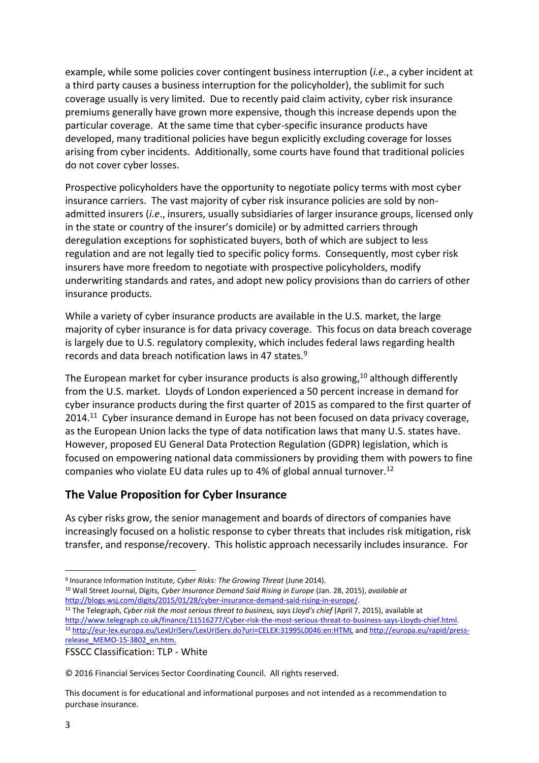example, while some policies cover contingent business interruption (*i.e*., a cyber incident at a third party causes a business interruption for the policyholder), the sublimit for such coverage usually is very limited. Due to recently paid claim activity, cyber risk insurance premiums generally have grown more expensive, though this increase depends upon the particular coverage. At the same time that cyber-specific insurance products have developed, many traditional policies have begun explicitly excluding coverage for losses arising from cyber incidents. Additionally, some courts have found that traditional policies do not cover cyber losses.

Prospective policyholders have the opportunity to negotiate policy terms with most cyber insurance carriers. The vast majority of cyber risk insurance policies are sold by nonadmitted insurers (*i.e*., insurers, usually subsidiaries of larger insurance groups, licensed only in the state or country of the insurer's domicile) or by admitted carriers through deregulation exceptions for sophisticated buyers, both of which are subject to less regulation and are not legally tied to specific policy forms. Consequently, most cyber risk insurers have more freedom to negotiate with prospective policyholders, modify underwriting standards and rates, and adopt new policy provisions than do carriers of other insurance products.

While a variety of cyber insurance products are available in the U.S. market, the large majority of cyber insurance is for data privacy coverage. This focus on data breach coverage is largely due to U.S. regulatory complexity, which includes federal laws regarding health records and data breach notification laws in 47 states.<sup>9</sup>

The European market for cyber insurance products is also growing,  $10$  although differently from the U.S. market. Lloyds of London experienced a 50 percent increase in demand for cyber insurance products during the first quarter of 2015 as compared to the first quarter of 2014.<sup>11</sup> Cyber insurance demand in Europe has not been focused on data privacy coverage, as the European Union lacks the type of data notification laws that many U.S. states have. However, proposed EU General Data Protection Regulation (GDPR) legislation, which is focused on empowering national data commissioners by providing them with powers to fine companies who violate EU data rules up to 4% of global annual turnover. 12

# **The Value Proposition for Cyber Insurance**

As cyber risks grow, the senior management and boards of directors of companies have increasingly focused on a holistic response to cyber threats that includes risk mitigation, risk transfer, and response/recovery. This holistic approach necessarily includes insurance. For

© 2016 Financial Services Sector Coordinating Council. All rights reserved.

<sup>1</sup> 9 Insurance Information Institute, *Cyber Risks: The Growing Threat* (June 2014).

<sup>10</sup> Wall Street Journal, Digits, *Cyber Insurance Demand Said Rising in Europe* (Jan. 28, 2015), *available at* [http://blogs.wsj.com/digits/2015/01/28/cyber-insurance-demand-said-rising-in-europe/.](http://blogs.wsj.com/digits/2015/01/28/cyber-insurance-demand-said-rising-in-europe/)

<sup>11</sup> The Telegraph, *Cyber risk the most serious threat to business, says Lloyd's chief* (April 7, 2015), available at [http://www.telegraph.co.uk/finance/11516277/Cyber-risk-the-most-serious-threat-to-business-says-Lloyds-chief.html.](http://www.telegraph.co.uk/finance/11516277/Cyber-risk-the-most-serious-threat-to-business-says-Lloyds-chief.html) <sup>12</sup> <http://eur-lex.europa.eu/LexUriServ/LexUriServ.do?uri=CELEX:31995L0046:en:HTML> an[d http://europa.eu/rapid/press](http://europa.eu/rapid/press-release_MEMO-15-3802_en.htm)[release\\_MEMO-15-3802\\_en.htm.](http://europa.eu/rapid/press-release_MEMO-15-3802_en.htm)

FSSCC Classification: TLP - White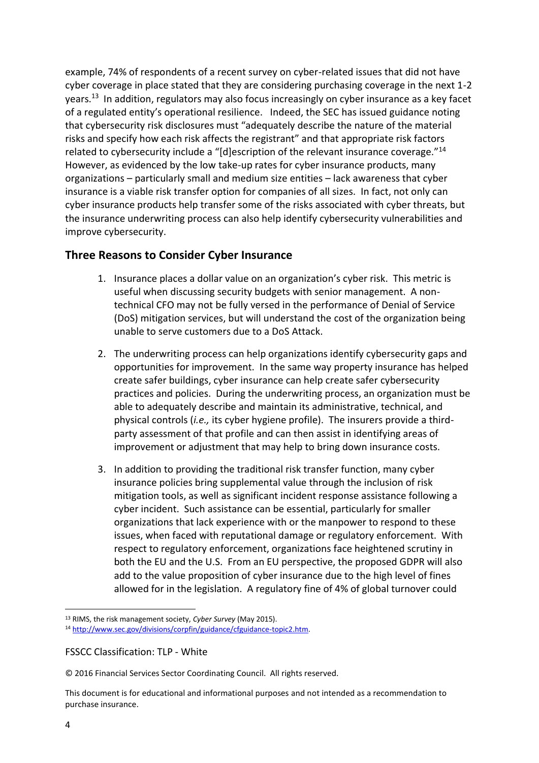example, 74% of respondents of a recent survey on cyber-related issues that did not have cyber coverage in place stated that they are considering purchasing coverage in the next 1-2 years.<sup>13</sup> In addition, regulators may also focus increasingly on cyber insurance as a key facet of a regulated entity's operational resilience. Indeed, the SEC has issued guidance noting that cybersecurity risk disclosures must "adequately describe the nature of the material risks and specify how each risk affects the registrant" and that appropriate risk factors related to cybersecurity include a "[d]escription of the relevant insurance coverage."<sup>14</sup> However, as evidenced by the low take-up rates for cyber insurance products, many organizations – particularly small and medium size entities – lack awareness that cyber insurance is a viable risk transfer option for companies of all sizes. In fact, not only can cyber insurance products help transfer some of the risks associated with cyber threats, but the insurance underwriting process can also help identify cybersecurity vulnerabilities and improve cybersecurity.

### **Three Reasons to Consider Cyber Insurance**

- 1. Insurance places a dollar value on an organization's cyber risk. This metric is useful when discussing security budgets with senior management. A nontechnical CFO may not be fully versed in the performance of Denial of Service (DoS) mitigation services, but will understand the cost of the organization being unable to serve customers due to a DoS Attack.
- 2. The underwriting process can help organizations identify cybersecurity gaps and opportunities for improvement. In the same way property insurance has helped create safer buildings, cyber insurance can help create safer cybersecurity practices and policies. During the underwriting process, an organization must be able to adequately describe and maintain its administrative, technical, and physical controls (*i.e.,* its cyber hygiene profile). The insurers provide a thirdparty assessment of that profile and can then assist in identifying areas of improvement or adjustment that may help to bring down insurance costs.
- 3. In addition to providing the traditional risk transfer function, many cyber insurance policies bring supplemental value through the inclusion of risk mitigation tools, as well as significant incident response assistance following a cyber incident. Such assistance can be essential, particularly for smaller organizations that lack experience with or the manpower to respond to these issues, when faced with reputational damage or regulatory enforcement. With respect to regulatory enforcement, organizations face heightened scrutiny in both the EU and the U.S. From an EU perspective, the proposed GDPR will also add to the value proposition of cyber insurance due to the high level of fines allowed for in the legislation. A regulatory fine of 4% of global turnover could

1

<sup>13</sup> RIMS, the risk management society, *Cyber Survey* (May 2015).

<sup>14</sup> [http://www.sec.gov/divisions/corpfin/guidance/cfguidance-topic2.htm.](http://www.sec.gov/divisions/corpfin/guidance/cfguidance-topic2.htm)

FSSCC Classification: TLP - White

<sup>© 2016</sup> Financial Services Sector Coordinating Council. All rights reserved.

This document is for educational and informational purposes and not intended as a recommendation to purchase insurance.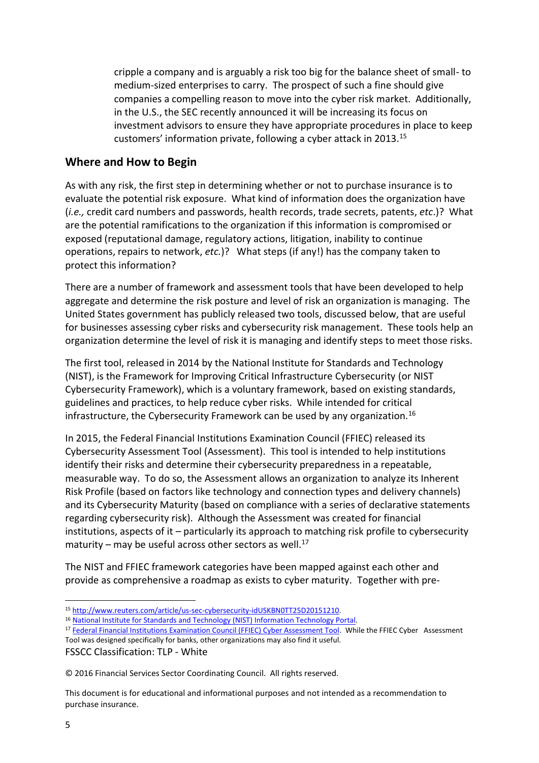cripple a company and is arguably a risk too big for the balance sheet of small- to medium-sized enterprises to carry. The prospect of such a fine should give companies a compelling reason to move into the cyber risk market. Additionally, in the U.S., the SEC recently announced it will be increasing its focus on investment advisors to ensure they have appropriate procedures in place to keep customers' information private, following a cyber attack in 2013.<sup>15</sup>

### **Where and How to Begin**

As with any risk, the first step in determining whether or not to purchase insurance is to evaluate the potential risk exposure. What kind of information does the organization have (*i.e.,* credit card numbers and passwords, health records, trade secrets, patents, *etc*.)? What are the potential ramifications to the organization if this information is compromised or exposed (reputational damage, regulatory actions, litigation, inability to continue operations, repairs to network, *etc.*)? What steps (if any!) has the company taken to protect this information?

There are a number of framework and assessment tools that have been developed to help aggregate and determine the risk posture and level of risk an organization is managing. The United States government has publicly released two tools, discussed below, that are useful for businesses assessing cyber risks and cybersecurity risk management. These tools help an organization determine the level of risk it is managing and identify steps to meet those risks.

The first tool, released in 2014 by the National Institute for Standards and Technology (NIST), is the Framework for Improving Critical Infrastructure Cybersecurity (or NIST Cybersecurity Framework), which is a voluntary framework, based on existing standards, guidelines and practices, to help reduce cyber risks. While intended for critical infrastructure, the Cybersecurity Framework can be used by any organization.<sup>16</sup>

In 2015, the Federal Financial Institutions Examination Council (FFIEC) released its Cybersecurity Assessment Tool (Assessment). This tool is intended to help institutions identify their risks and determine their cybersecurity preparedness in a repeatable, measurable way. To do so, the Assessment allows an organization to analyze its Inherent Risk Profile (based on factors like technology and connection types and delivery channels) and its Cybersecurity Maturity (based on compliance with a series of declarative statements regarding cybersecurity risk). Although the Assessment was created for financial institutions, aspects of it – particularly its approach to matching risk profile to cybersecurity maturity – may be useful across other sectors as well. $^{17}$ 

The NIST and FFIEC framework categories have been mapped against each other and provide as comprehensive a roadmap as exists to cyber maturity. Together with pre-

FSSCC Classification: TLP - White

© 2016 Financial Services Sector Coordinating Council. All rights reserved.

1

<sup>15</sup> [http://www.reuters.com/article/us-sec-cybersecurity-idUSKBN0TT25D20151210.](http://www.reuters.com/article/us-sec-cybersecurity-idUSKBN0TT25D20151210)

<sup>16</sup> [National Institute for Standards and Technology \(NIST\) Information Technology Portal.](http://www.nist.gov/information-technology-portal.cfm)

<sup>17</sup> [Federal Financial Institutions Examination Council \(FFIEC\) Cyber Assessment Tool.](https://www.ffiec.gov/cyberassessmenttool.htm) While the FFIEC Cyber Assessment Tool was designed specifically for banks, other organizations may also find it useful.

This document is for educational and informational purposes and not intended as a recommendation to purchase insurance.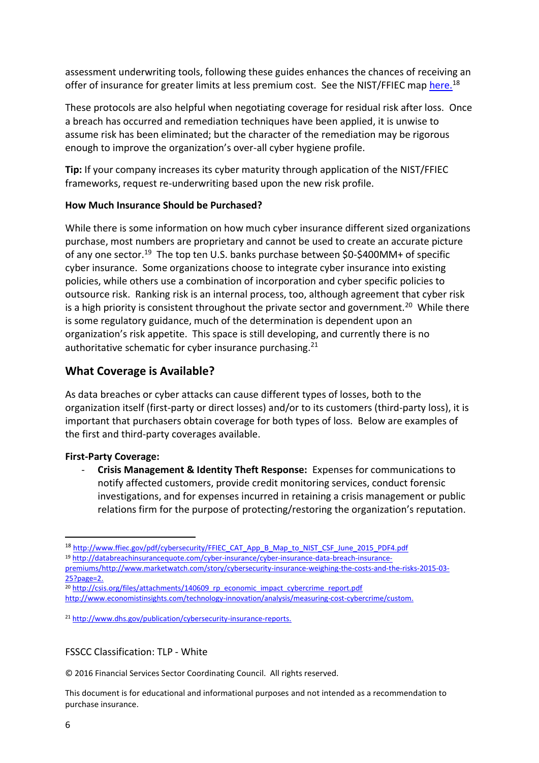assessment underwriting tools, following these guides enhances the chances of receiving an offer of insurance for greater limits at less premium cost. See the NIST/FFIEC map [here.](http://www.ffiec.gov/pdf/cybersecurity/FFIEC_CAT_App_B_Map_to_NIST_CSF_June_2015_PDF4.pdf)<sup>18</sup>

These protocols are also helpful when negotiating coverage for residual risk after loss. Once a breach has occurred and remediation techniques have been applied, it is unwise to assume risk has been eliminated; but the character of the remediation may be rigorous enough to improve the organization's over-all cyber hygiene profile.

**Tip:** If your company increases its cyber maturity through application of the NIST/FFIEC frameworks, request re-underwriting based upon the new risk profile.

#### **How Much Insurance Should be Purchased?**

While there is some information on how much cyber insurance different sized organizations purchase, most numbers are proprietary and cannot be used to create an accurate picture of any one sector.<sup>19</sup> The top ten U.S. banks purchase between \$0-\$400MM+ of specific cyber insurance. Some organizations choose to integrate cyber insurance into existing policies, while others use a combination of incorporation and cyber specific policies to outsource risk. Ranking risk is an internal process, too, although agreement that cyber risk is a high priority is consistent throughout the private sector and government.<sup>20</sup> While there is some regulatory guidance, much of the determination is dependent upon an organization's risk appetite. This space is still developing, and currently there is no authoritative schematic for cyber insurance purchasing.<sup>21</sup>

# **What Coverage is Available?**

As data breaches or cyber attacks can cause different types of losses, both to the organization itself (first-party or direct losses) and/or to its customers (third-party loss), it is important that purchasers obtain coverage for both types of loss. Below are examples of the first and third-party coverages available.

#### **First-Party Coverage:**

- **Crisis Management & Identity Theft Response:** Expenses for communications to notify affected customers, provide credit monitoring services, conduct forensic investigations, and for expenses incurred in retaining a crisis management or public relations firm for the purpose of protecting/restoring the organization's reputation.

#### FSSCC Classification: TLP - White

© 2016 Financial Services Sector Coordinating Council. All rights reserved.

This document is for educational and informational purposes and not intended as a recommendation to purchase insurance.

1

<sup>18</sup> [http://www.ffiec.gov/pdf/cybersecurity/FFIEC\\_CAT\\_App\\_B\\_Map\\_to\\_NIST\\_CSF\\_June\\_2015\\_PDF4.pdf](http://www.ffiec.gov/pdf/cybersecurity/FFIEC_CAT_App_B_Map_to_NIST_CSF_June_2015_PDF4.pdf)

<sup>19</sup> [http://databreachinsurancequote.com/cyber-insurance/cyber-insurance-data-breach-insurance-](http://databreachinsurancequote.com/cyber-insurance/cyber-insurance-data-breach-insurance-premiums/)

[premiums/](http://databreachinsurancequote.com/cyber-insurance/cyber-insurance-data-breach-insurance-premiums/)[http://www.marketwatch.com/story/cybersecurity-insurance-weighing-the-costs-and-the-risks-2015-03-](http://www.marketwatch.com/story/cybersecurity-insurance-weighing-the-costs-and-the-risks-2015-03-25?page=2) [25?page=2.](http://www.marketwatch.com/story/cybersecurity-insurance-weighing-the-costs-and-the-risks-2015-03-25?page=2)

<sup>&</sup>lt;sup>20</sup> [http://csis.org/files/attachments/140609\\_rp\\_economic\\_impact\\_cybercrime\\_report.pdf](http://csis.org/files/attachments/140609_rp_economic_impact_cybercrime_report.pdf) [http://www.economistinsights.com/technology-innovation/analysis/measuring-cost-cybercrime/custom.](http://www.economistinsights.com/technology-innovation/analysis/measuring-cost-cybercrime/custom)

<sup>21</sup> [http://www.dhs.gov/publication/cybersecurity-insurance-reports.](http://www.dhs.gov/publication/cybersecurity-insurance-reports)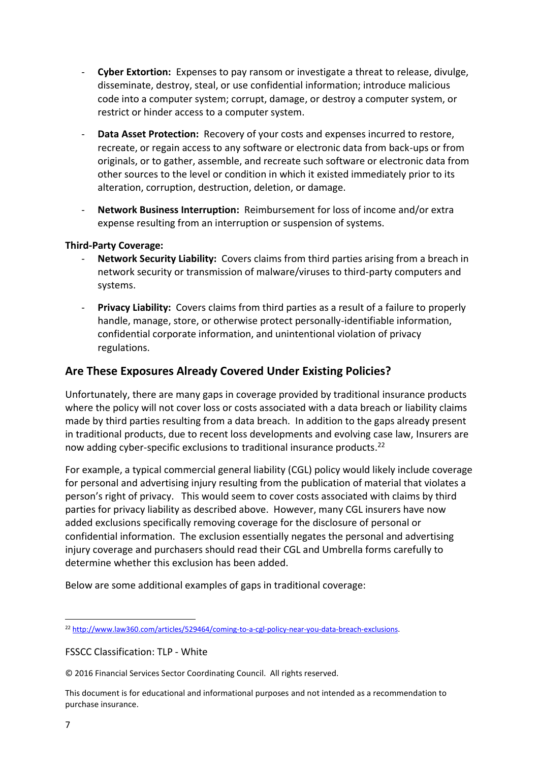- **Cyber Extortion:** Expenses to pay ransom or investigate a threat to release, divulge, disseminate, destroy, steal, or use confidential information; introduce malicious code into a computer system; corrupt, damage, or destroy a computer system, or restrict or hinder access to a computer system.
- **Data Asset Protection:** Recovery of your costs and expenses incurred to restore, recreate, or regain access to any software or electronic data from back-ups or from originals, or to gather, assemble, and recreate such software or electronic data from other sources to the level or condition in which it existed immediately prior to its alteration, corruption, destruction, deletion, or damage.
- **Network Business Interruption:** Reimbursement for loss of income and/or extra expense resulting from an interruption or suspension of systems.

#### **Third-Party Coverage:**

- **Network Security Liability:** Covers claims from third parties arising from a breach in network security or transmission of malware/viruses to third-party computers and systems.
- **Privacy Liability:** Covers claims from third parties as a result of a failure to properly handle, manage, store, or otherwise protect personally-identifiable information, confidential corporate information, and unintentional violation of privacy regulations.

# **Are These Exposures Already Covered Under Existing Policies?**

Unfortunately, there are many gaps in coverage provided by traditional insurance products where the policy will not cover loss or costs associated with a data breach or liability claims made by third parties resulting from a data breach. In addition to the gaps already present in traditional products, due to recent loss developments and evolving case law, Insurers are now adding cyber-specific exclusions to traditional insurance products. 22

For example, a typical commercial general liability (CGL) policy would likely include coverage for personal and advertising injury resulting from the publication of material that violates a person's right of privacy. This would seem to cover costs associated with claims by third parties for privacy liability as described above. However, many CGL insurers have now added exclusions specifically removing coverage for the disclosure of personal or confidential information. The exclusion essentially negates the personal and advertising injury coverage and purchasers should read their CGL and Umbrella forms carefully to determine whether this exclusion has been added.

Below are some additional examples of gaps in traditional coverage:

FSSCC Classification: TLP - White

**.** 

<sup>22</sup> [http://www.law360.com/articles/529464/coming-to-a-cgl-policy-near-you-data-breach-exclusions.](http://www.law360.com/articles/529464/coming-to-a-cgl-policy-near-you-data-breach-exclusions)

<sup>© 2016</sup> Financial Services Sector Coordinating Council. All rights reserved.

This document is for educational and informational purposes and not intended as a recommendation to purchase insurance.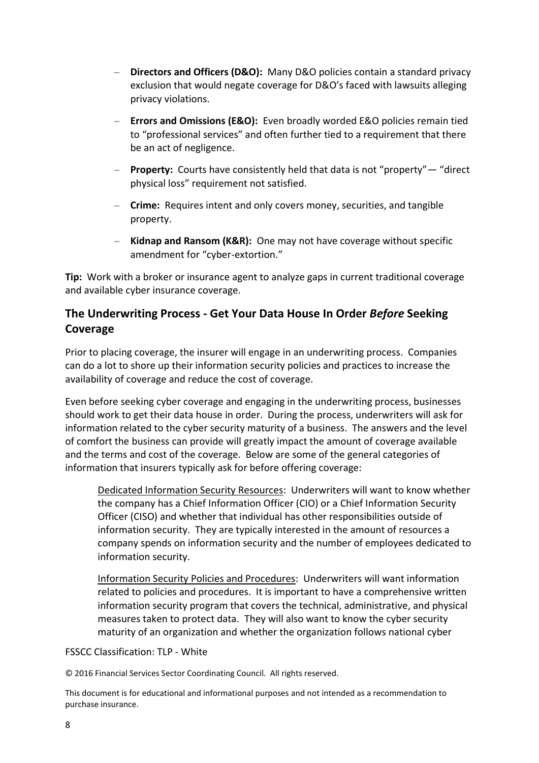- **Directors and Officers (D&O):** Many D&O policies contain a standard privacy exclusion that would negate coverage for D&O's faced with lawsuits alleging privacy violations.
- **Errors and Omissions (E&O):** Even broadly worded E&O policies remain tied to "professional services" and often further tied to a requirement that there be an act of negligence.
- **Property:** Courts have consistently held that data is not "property"— "direct physical loss" requirement not satisfied.
- **Crime:** Requires intent and only covers money, securities, and tangible property.
- **Kidnap and Ransom (K&R):** One may not have coverage without specific amendment for "cyber-extortion."

**Tip:** Work with a broker or insurance agent to analyze gaps in current traditional coverage and available cyber insurance coverage.

# **The Underwriting Process - Get Your Data House In Order** *Before* **Seeking Coverage**

Prior to placing coverage, the insurer will engage in an underwriting process. Companies can do a lot to shore up their information security policies and practices to increase the availability of coverage and reduce the cost of coverage.

Even before seeking cyber coverage and engaging in the underwriting process, businesses should work to get their data house in order. During the process, underwriters will ask for information related to the cyber security maturity of a business. The answers and the level of comfort the business can provide will greatly impact the amount of coverage available and the terms and cost of the coverage. Below are some of the general categories of information that insurers typically ask for before offering coverage:

Dedicated Information Security Resources: Underwriters will want to know whether the company has a Chief Information Officer (CIO) or a Chief Information Security Officer (CISO) and whether that individual has other responsibilities outside of information security. They are typically interested in the amount of resources a company spends on information security and the number of employees dedicated to information security.

Information Security Policies and Procedures: Underwriters will want information related to policies and procedures. It is important to have a comprehensive written information security program that covers the technical, administrative, and physical measures taken to protect data. They will also want to know the cyber security maturity of an organization and whether the organization follows national cyber

FSSCC Classification: TLP - White

© 2016 Financial Services Sector Coordinating Council. All rights reserved.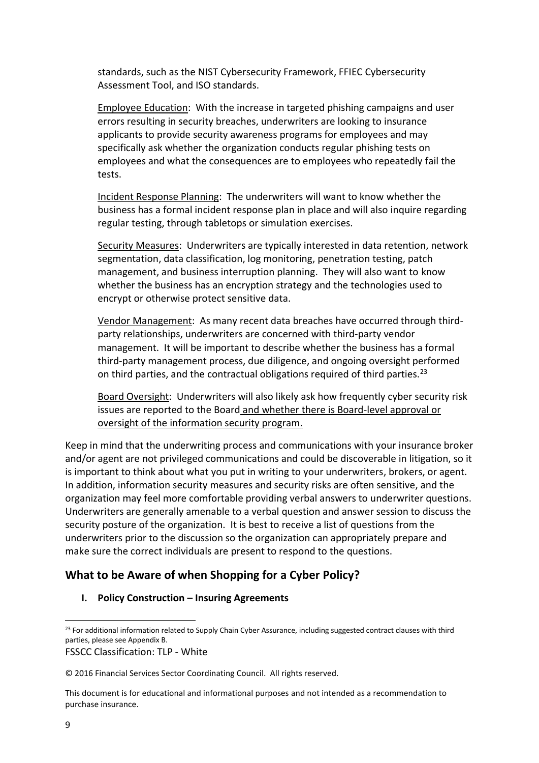standards, such as the NIST Cybersecurity Framework, FFIEC Cybersecurity Assessment Tool, and ISO standards.

Employee Education: With the increase in targeted phishing campaigns and user errors resulting in security breaches, underwriters are looking to insurance applicants to provide security awareness programs for employees and may specifically ask whether the organization conducts regular phishing tests on employees and what the consequences are to employees who repeatedly fail the tests.

Incident Response Planning: The underwriters will want to know whether the business has a formal incident response plan in place and will also inquire regarding regular testing, through tabletops or simulation exercises.

Security Measures: Underwriters are typically interested in data retention, network segmentation, data classification, log monitoring, penetration testing, patch management, and business interruption planning. They will also want to know whether the business has an encryption strategy and the technologies used to encrypt or otherwise protect sensitive data.

Vendor Management: As many recent data breaches have occurred through thirdparty relationships, underwriters are concerned with third-party vendor management. It will be important to describe whether the business has a formal third-party management process, due diligence, and ongoing oversight performed on third parties, and the contractual obligations required of third parties.<sup>23</sup>

Board Oversight: Underwriters will also likely ask how frequently cyber security risk issues are reported to the Board and whether there is Board-level approval or oversight of the information security program.

Keep in mind that the underwriting process and communications with your insurance broker and/or agent are not privileged communications and could be discoverable in litigation, so it is important to think about what you put in writing to your underwriters, brokers, or agent. In addition, information security measures and security risks are often sensitive, and the organization may feel more comfortable providing verbal answers to underwriter questions. Underwriters are generally amenable to a verbal question and answer session to discuss the security posture of the organization. It is best to receive a list of questions from the underwriters prior to the discussion so the organization can appropriately prepare and make sure the correct individuals are present to respond to the questions.

# **What to be Aware of when Shopping for a Cyber Policy?**

#### **I.** Policy Construction – Insuring Agreements

FSSCC Classification: TLP - White

**<sup>.</sup>** <sup>23</sup> For additional information related to Supply Chain Cyber Assurance, including suggested contract clauses with third parties, please see Appendix B.

<sup>© 2016</sup> Financial Services Sector Coordinating Council. All rights reserved.

This document is for educational and informational purposes and not intended as a recommendation to purchase insurance.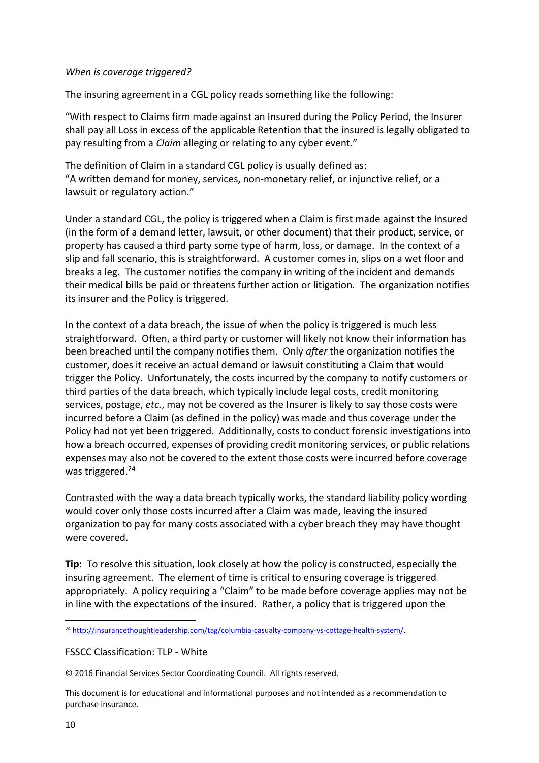#### *When is coverage triggered?*

The insuring agreement in a CGL policy reads something like the following:

"With respect to Claims firm made against an Insured during the Policy Period, the Insurer shall pay all Loss in excess of the applicable Retention that the insured is legally obligated to pay resulting from a *Claim* alleging or relating to any cyber event."

The definition of Claim in a standard CGL policy is usually defined as: "A written demand for money, services, non-monetary relief, or injunctive relief, or a lawsuit or regulatory action."

Under a standard CGL, the policy is triggered when a Claim is first made against the Insured (in the form of a demand letter, lawsuit, or other document) that their product, service, or property has caused a third party some type of harm, loss, or damage. In the context of a slip and fall scenario, this is straightforward. A customer comes in, slips on a wet floor and breaks a leg. The customer notifies the company in writing of the incident and demands their medical bills be paid or threatens further action or litigation. The organization notifies its insurer and the Policy is triggered.

In the context of a data breach, the issue of when the policy is triggered is much less straightforward. Often, a third party or customer will likely not know their information has been breached until the company notifies them. Only *after* the organization notifies the customer, does it receive an actual demand or lawsuit constituting a Claim that would trigger the Policy. Unfortunately, the costs incurred by the company to notify customers or third parties of the data breach, which typically include legal costs, credit monitoring services, postage, *etc.*, may not be covered as the Insurer is likely to say those costs were incurred before a Claim (as defined in the policy) was made and thus coverage under the Policy had not yet been triggered. Additionally, costs to conduct forensic investigations into how a breach occurred, expenses of providing credit monitoring services, or public relations expenses may also not be covered to the extent those costs were incurred before coverage was triggered.<sup>24</sup>

Contrasted with the way a data breach typically works, the standard liability policy wording would cover only those costs incurred after a Claim was made, leaving the insured organization to pay for many costs associated with a cyber breach they may have thought were covered.

**Tip:** To resolve this situation, look closely at how the policy is constructed, especially the insuring agreement. The element of time is critical to ensuring coverage is triggered appropriately. A policy requiring a "Claim" to be made before coverage applies may not be in line with the expectations of the insured. Rather, a policy that is triggered upon the

FSSCC Classification: TLP - White

© 2016 Financial Services Sector Coordinating Council. All rights reserved.

**<sup>.</sup>** <sup>24</sup> [http://insurancethoughtleadership.com/tag/columbia-casualty-company-vs-cottage-health-system/.](http://insurancethoughtleadership.com/tag/columbia-casualty-company-vs-cottage-health-system/)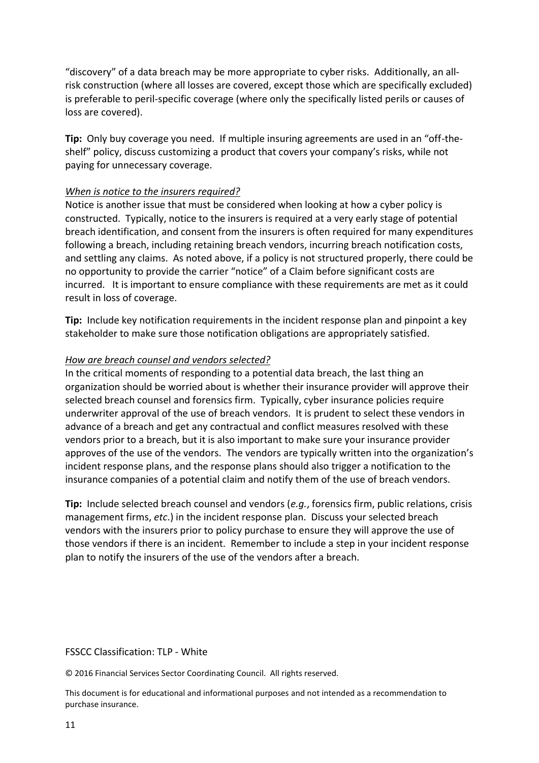"discovery" of a data breach may be more appropriate to cyber risks. Additionally, an allrisk construction (where all losses are covered, except those which are specifically excluded) is preferable to peril-specific coverage (where only the specifically listed perils or causes of loss are covered).

**Tip:** Only buy coverage you need. If multiple insuring agreements are used in an "off-theshelf" policy, discuss customizing a product that covers your company's risks, while not paying for unnecessary coverage.

#### *When is notice to the insurers required?*

Notice is another issue that must be considered when looking at how a cyber policy is constructed. Typically, notice to the insurers is required at a very early stage of potential breach identification, and consent from the insurers is often required for many expenditures following a breach, including retaining breach vendors, incurring breach notification costs, and settling any claims. As noted above, if a policy is not structured properly, there could be no opportunity to provide the carrier "notice" of a Claim before significant costs are incurred. It is important to ensure compliance with these requirements are met as it could result in loss of coverage.

**Tip:** Include key notification requirements in the incident response plan and pinpoint a key stakeholder to make sure those notification obligations are appropriately satisfied.

#### *How are breach counsel and vendors selected?*

In the critical moments of responding to a potential data breach, the last thing an organization should be worried about is whether their insurance provider will approve their selected breach counsel and forensics firm. Typically, cyber insurance policies require underwriter approval of the use of breach vendors. It is prudent to select these vendors in advance of a breach and get any contractual and conflict measures resolved with these vendors prior to a breach, but it is also important to make sure your insurance provider approves of the use of the vendors. The vendors are typically written into the organization's incident response plans, and the response plans should also trigger a notification to the insurance companies of a potential claim and notify them of the use of breach vendors.

**Tip:** Include selected breach counsel and vendors (*e.g.*, forensics firm, public relations, crisis management firms, *etc*.) in the incident response plan. Discuss your selected breach vendors with the insurers prior to policy purchase to ensure they will approve the use of those vendors if there is an incident. Remember to include a step in your incident response plan to notify the insurers of the use of the vendors after a breach.

#### FSSCC Classification: TLP - White

© 2016 Financial Services Sector Coordinating Council. All rights reserved.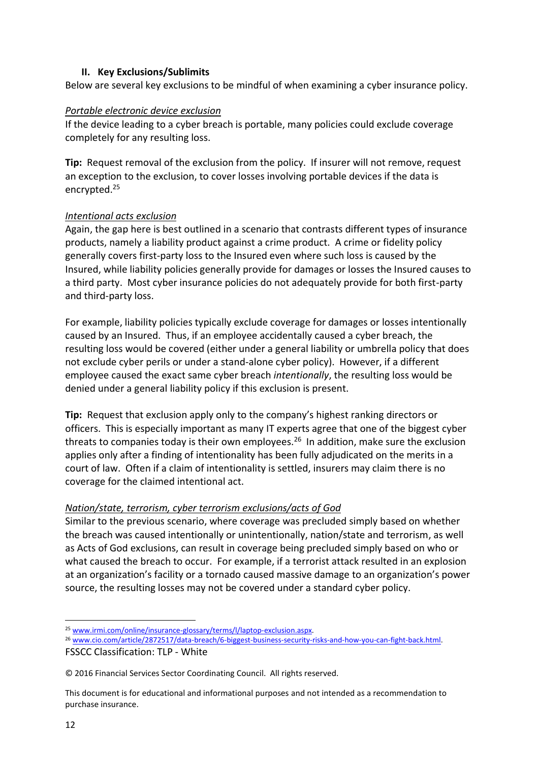#### **II. Key Exclusions/Sublimits**

Below are several key exclusions to be mindful of when examining a cyber insurance policy.

#### *Portable electronic device exclusion*

If the device leading to a cyber breach is portable, many policies could exclude coverage completely for any resulting loss.

**Tip:** Request removal of the exclusion from the policy. If insurer will not remove, request an exception to the exclusion, to cover losses involving portable devices if the data is encrypted.<sup>25</sup>

#### *Intentional acts exclusion*

Again, the gap here is best outlined in a scenario that contrasts different types of insurance products, namely a liability product against a crime product. A crime or fidelity policy generally covers first-party loss to the Insured even where such loss is caused by the Insured, while liability policies generally provide for damages or losses the Insured causes to a third party. Most cyber insurance policies do not adequately provide for both first-party and third-party loss.

For example, liability policies typically exclude coverage for damages or losses intentionally caused by an Insured. Thus, if an employee accidentally caused a cyber breach, the resulting loss would be covered (either under a general liability or umbrella policy that does not exclude cyber perils or under a stand-alone cyber policy). However, if a different employee caused the exact same cyber breach *intentionally*, the resulting loss would be denied under a general liability policy if this exclusion is present.

**Tip:** Request that exclusion apply only to the company's highest ranking directors or officers. This is especially important as many IT experts agree that one of the biggest cyber threats to companies today is their own employees.<sup>26</sup> In addition, make sure the exclusion applies only after a finding of intentionality has been fully adjudicated on the merits in a court of law. Often if a claim of intentionality is settled, insurers may claim there is no coverage for the claimed intentional act.

#### *Nation/state, terrorism, cyber terrorism exclusions/acts of God*

Similar to the previous scenario, where coverage was precluded simply based on whether the breach was caused intentionally or unintentionally, nation/state and terrorism, as well as Acts of God exclusions, can result in coverage being precluded simply based on who or what caused the breach to occur. For example, if a terrorist attack resulted in an explosion at an organization's facility or a tornado caused massive damage to an organization's power source, the resulting losses may not be covered under a standard cyber policy.

**<sup>.</sup>** <sup>25</sup> [www.irmi.com/online/insurance-glossary/terms/l/laptop-exclusion.aspx.](http://www.irmi.com/online/insurance-glossary/terms/l/laptop-exclusion.aspx)

<sup>26</sup> [www.cio.com/article/2872517/data-breach/6-biggest-business-security-risks-and-how-you-can-fight-back.html.](http://www.cio.com/article/2872517/data-breach/6-biggest-business-security-risks-and-how-you-can-fight-back.html)

FSSCC Classification: TLP - White

<sup>© 2016</sup> Financial Services Sector Coordinating Council. All rights reserved.

This document is for educational and informational purposes and not intended as a recommendation to purchase insurance.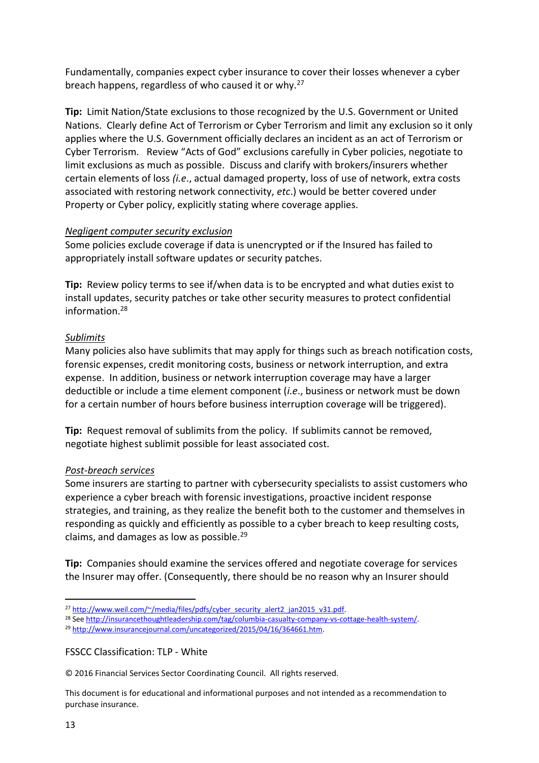Fundamentally, companies expect cyber insurance to cover their losses whenever a cyber breach happens, regardless of who caused it or why.<sup>27</sup>

**Tip:** Limit Nation/State exclusions to those recognized by the U.S. Government or United Nations. Clearly define Act of Terrorism or Cyber Terrorism and limit any exclusion so it only applies where the U.S. Government officially declares an incident as an act of Terrorism or Cyber Terrorism. Review "Acts of God" exclusions carefully in Cyber policies, negotiate to limit exclusions as much as possible. Discuss and clarify with brokers/insurers whether certain elements of loss *(i.e*., actual damaged property, loss of use of network, extra costs associated with restoring network connectivity, *etc*.) would be better covered under Property or Cyber policy, explicitly stating where coverage applies.

#### *Negligent computer security exclusion*

Some policies exclude coverage if data is unencrypted or if the Insured has failed to appropriately install software updates or security patches.

**Tip:** Review policy terms to see if/when data is to be encrypted and what duties exist to install updates, security patches or take other security measures to protect confidential information. 28

#### *Sublimits*

Many policies also have sublimits that may apply for things such as breach notification costs, forensic expenses, credit monitoring costs, business or network interruption, and extra expense. In addition, business or network interruption coverage may have a larger deductible or include a time element component (*i.e*., business or network must be down for a certain number of hours before business interruption coverage will be triggered).

**Tip:** Request removal of sublimits from the policy. If sublimits cannot be removed, negotiate highest sublimit possible for least associated cost.

#### *Post-breach services*

Some insurers are starting to partner with cybersecurity specialists to assist customers who experience a cyber breach with forensic investigations, proactive incident response strategies, and training, as they realize the benefit both to the customer and themselves in responding as quickly and efficiently as possible to a cyber breach to keep resulting costs, claims, and damages as low as possible.<sup>29</sup>

**Tip:** Companies should examine the services offered and negotiate coverage for services the Insurer may offer. (Consequently, there should be no reason why an Insurer should

FSSCC Classification: TLP - White

© 2016 Financial Services Sector Coordinating Council. All rights reserved.

This document is for educational and informational purposes and not intended as a recommendation to purchase insurance.

**.** 

<sup>&</sup>lt;sup>27</sup> [http://www.weil.com/~/media/files/pdfs/cyber\\_security\\_alert2\\_jan2015\\_v31.pdf.](http://www.weil.com/~/media/files/pdfs/cyber_security_alert2_jan2015_v31.pdf)

<sup>28</sup> See [http://insurancethoughtleadership.com/tag/columbia-casualty-company-vs-cottage-health-system/.](http://insurancethoughtleadership.com/tag/columbia-casualty-company-vs-cottage-health-system/)

<sup>29</sup> [http://www.insurancejournal.com/uncategorized/2015/04/16/364661.htm.](http://www.insurancejournal.com/uncategorized/2015/04/16/364661.htm)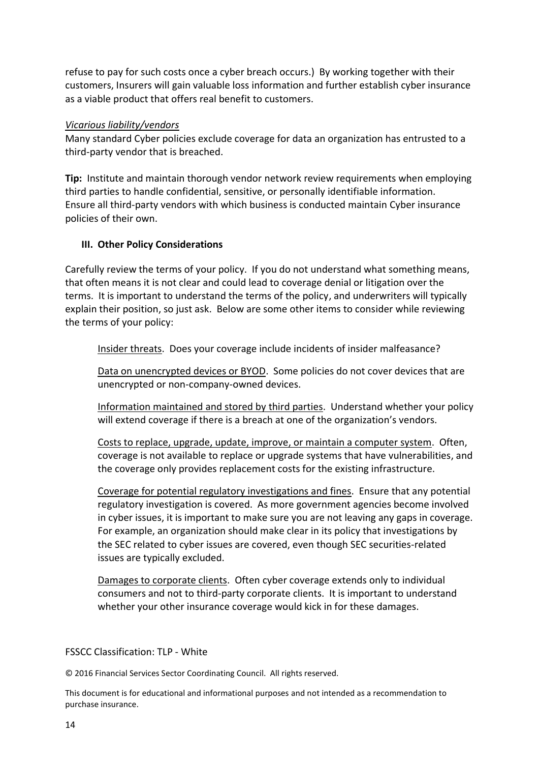refuse to pay for such costs once a cyber breach occurs.) By working together with their customers, Insurers will gain valuable loss information and further establish cyber insurance as a viable product that offers real benefit to customers.

#### *Vicarious liability/vendors*

Many standard Cyber policies exclude coverage for data an organization has entrusted to a third-party vendor that is breached.

**Tip:** Institute and maintain thorough vendor network review requirements when employing third parties to handle confidential, sensitive, or personally identifiable information. Ensure all third-party vendors with which business is conducted maintain Cyber insurance policies of their own.

#### **III. Other Policy Considerations**

Carefully review the terms of your policy. If you do not understand what something means, that often means it is not clear and could lead to coverage denial or litigation over the terms. It is important to understand the terms of the policy, and underwriters will typically explain their position, so just ask. Below are some other items to consider while reviewing the terms of your policy:

Insider threats. Does your coverage include incidents of insider malfeasance?

Data on unencrypted devices or BYOD. Some policies do not cover devices that are unencrypted or non-company-owned devices.

Information maintained and stored by third parties. Understand whether your policy will extend coverage if there is a breach at one of the organization's vendors.

Costs to replace, upgrade, update, improve, or maintain a computer system. Often, coverage is not available to replace or upgrade systems that have vulnerabilities, and the coverage only provides replacement costs for the existing infrastructure.

Coverage for potential regulatory investigations and fines. Ensure that any potential regulatory investigation is covered. As more government agencies become involved in cyber issues, it is important to make sure you are not leaving any gaps in coverage. For example, an organization should make clear in its policy that investigations by the SEC related to cyber issues are covered, even though SEC securities-related issues are typically excluded.

Damages to corporate clients. Often cyber coverage extends only to individual consumers and not to third-party corporate clients. It is important to understand whether your other insurance coverage would kick in for these damages.

#### FSSCC Classification: TLP - White

© 2016 Financial Services Sector Coordinating Council. All rights reserved.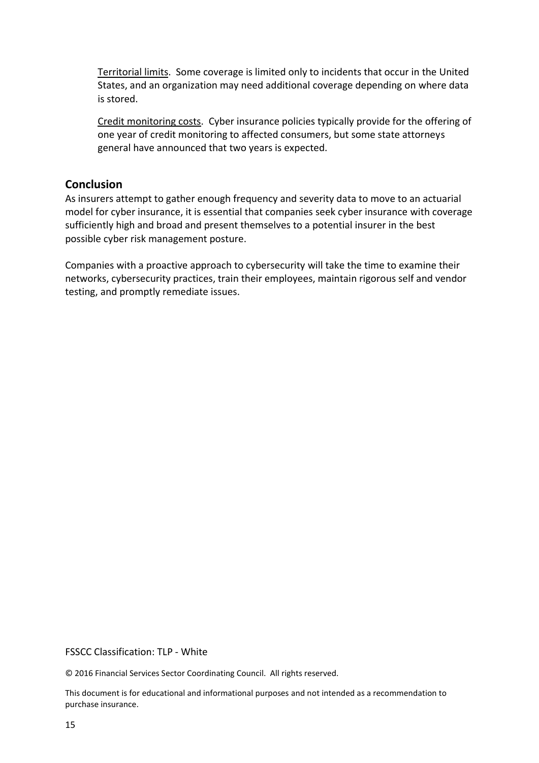Territorial limits. Some coverage is limited only to incidents that occur in the United States, and an organization may need additional coverage depending on where data is stored.

Credit monitoring costs. Cyber insurance policies typically provide for the offering of one year of credit monitoring to affected consumers, but some state attorneys general have announced that two years is expected.

### **Conclusion**

As insurers attempt to gather enough frequency and severity data to move to an actuarial model for cyber insurance, it is essential that companies seek cyber insurance with coverage sufficiently high and broad and present themselves to a potential insurer in the best possible cyber risk management posture.

Companies with a proactive approach to cybersecurity will take the time to examine their networks, cybersecurity practices, train their employees, maintain rigorous self and vendor testing, and promptly remediate issues.

#### FSSCC Classification: TLP - White

© 2016 Financial Services Sector Coordinating Council. All rights reserved.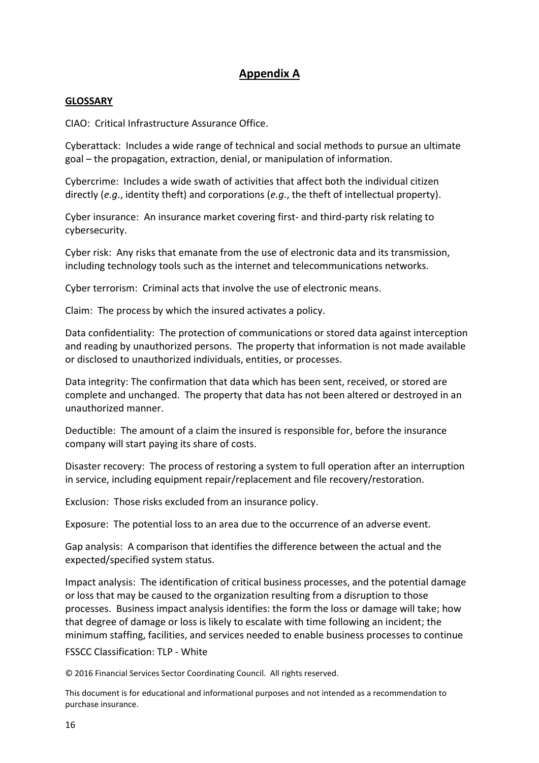# **Appendix A**

#### **GLOSSARY**

CIAO: Critical Infrastructure Assurance Office.

Cyberattack: Includes a wide range of technical and social methods to pursue an ultimate goal – the propagation, extraction, denial, or manipulation of information.

Cybercrime: Includes a wide swath of activities that affect both the individual citizen directly (*e.g*., identity theft) and corporations (*e.g*., the theft of intellectual property).

Cyber insurance: An insurance market covering first- and third-party risk relating to cybersecurity.

Cyber risk: Any risks that emanate from the use of electronic data and its transmission, including technology tools such as the internet and telecommunications networks.

Cyber terrorism: Criminal acts that involve the use of electronic means.

Claim: The process by which the insured activates a policy.

Data confidentiality: The protection of communications or stored data against interception and reading by unauthorized persons. The property that information is not made available or disclosed to unauthorized individuals, entities, or processes.

Data integrity: The confirmation that data which has been sent, received, or stored are complete and unchanged. The property that data has not been altered or destroyed in an unauthorized manner.

Deductible: The amount of a claim the insured is responsible for, before the insurance company will start paying its share of costs.

Disaster recovery: The process of restoring a system to full operation after an interruption in service, including equipment repair/replacement and file recovery/restoration.

Exclusion: Those risks excluded from an insurance policy.

Exposure: The potential loss to an area due to the occurrence of an adverse event.

Gap analysis: A comparison that identifies the difference between the actual and the expected/specified system status.

Impact analysis: The identification of critical business processes, and the potential damage or loss that may be caused to the organization resulting from a disruption to those processes. Business impact analysis identifies: the form the loss or damage will take; how that degree of damage or loss is likely to escalate with time following an incident; the minimum staffing, facilities, and services needed to enable business processes to continue

FSSCC Classification: TLP - White

© 2016 Financial Services Sector Coordinating Council. All rights reserved.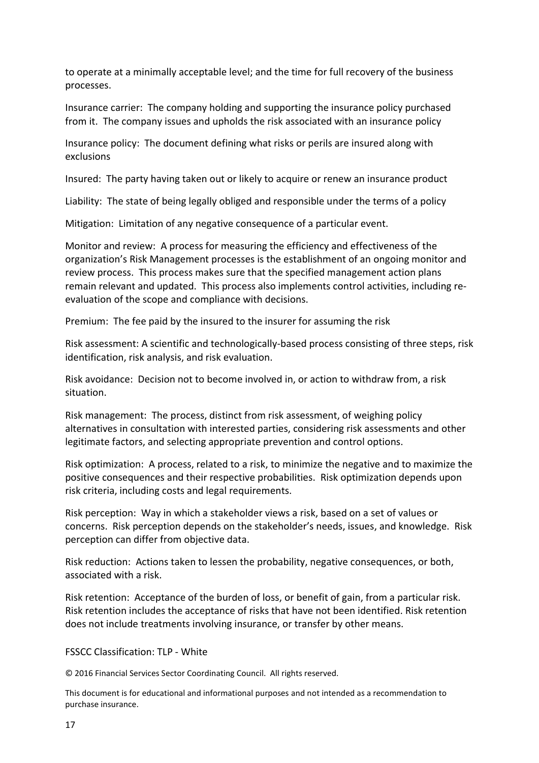to operate at a minimally acceptable level; and the time for full recovery of the business processes.

Insurance carrier: The company holding and supporting the insurance policy purchased from it. The company issues and upholds the risk associated with an insurance policy

Insurance policy: The document defining what risks or perils are insured along with exclusions

Insured: The party having taken out or likely to acquire or renew an insurance product

Liability: The state of being legally obliged and responsible under the terms of a policy

Mitigation: Limitation of any negative consequence of a particular event.

Monitor and review: A process for measuring the efficiency and effectiveness of the organization's Risk Management processes is the establishment of an ongoing monitor and review process. This process makes sure that the specified management action plans remain relevant and updated. This process also implements control activities, including reevaluation of the scope and compliance with decisions.

Premium: The fee paid by the insured to the insurer for assuming the risk

Risk assessment: A scientific and technologically-based process consisting of three steps, risk identification, risk analysis, and risk evaluation.

Risk avoidance: Decision not to become involved in, or action to withdraw from, a risk situation.

Risk management: The process, distinct from risk assessment, of weighing policy alternatives in consultation with interested parties, considering risk assessments and other legitimate factors, and selecting appropriate prevention and control options.

Risk optimization: A process, related to a risk, to minimize the negative and to maximize the positive consequences and their respective probabilities. Risk optimization depends upon risk criteria, including costs and legal requirements.

Risk perception: Way in which a stakeholder views a risk, based on a set of values or concerns. Risk perception depends on the stakeholder's needs, issues, and knowledge. Risk perception can differ from objective data.

Risk reduction: Actions taken to lessen the probability, negative consequences, or both, associated with a risk.

Risk retention: Acceptance of the burden of loss, or benefit of gain, from a particular risk. Risk retention includes the acceptance of risks that have not been identified. Risk retention does not include treatments involving insurance, or transfer by other means.

FSSCC Classification: TLP - White

© 2016 Financial Services Sector Coordinating Council. All rights reserved.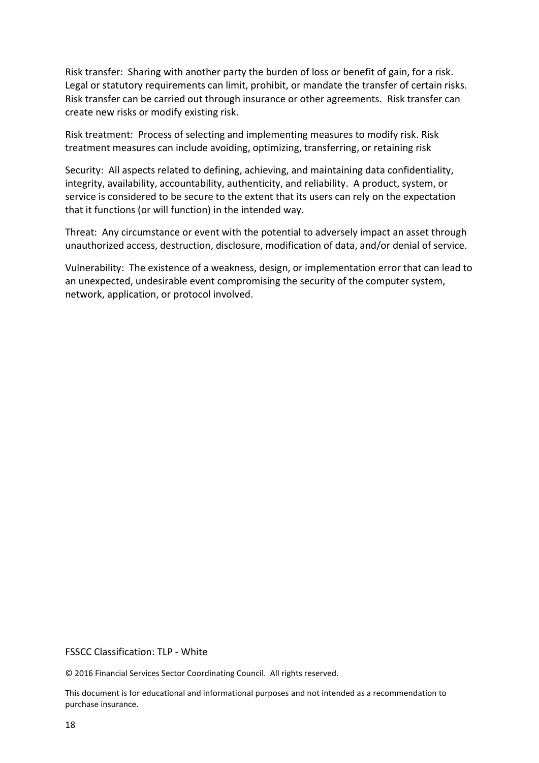Risk transfer: Sharing with another party the burden of loss or benefit of gain, for a risk. Legal or statutory requirements can limit, prohibit, or mandate the transfer of certain risks. Risk transfer can be carried out through insurance or other agreements. Risk transfer can create new risks or modify existing risk.

Risk treatment: Process of selecting and implementing measures to modify risk. Risk treatment measures can include avoiding, optimizing, transferring, or retaining risk

Security: All aspects related to defining, achieving, and maintaining data confidentiality, integrity, availability, accountability, authenticity, and reliability. A product, system, or service is considered to be secure to the extent that its users can rely on the expectation that it functions (or will function) in the intended way.

Threat: Any circumstance or event with the potential to adversely impact an asset through unauthorized access, destruction, disclosure, modification of data, and/or denial of service.

Vulnerability: The existence of a weakness, design, or implementation error that can lead to an unexpected, undesirable event compromising the security of the computer system, network, application, or protocol involved.

FSSCC Classification: TLP - White

© 2016 Financial Services Sector Coordinating Council. All rights reserved.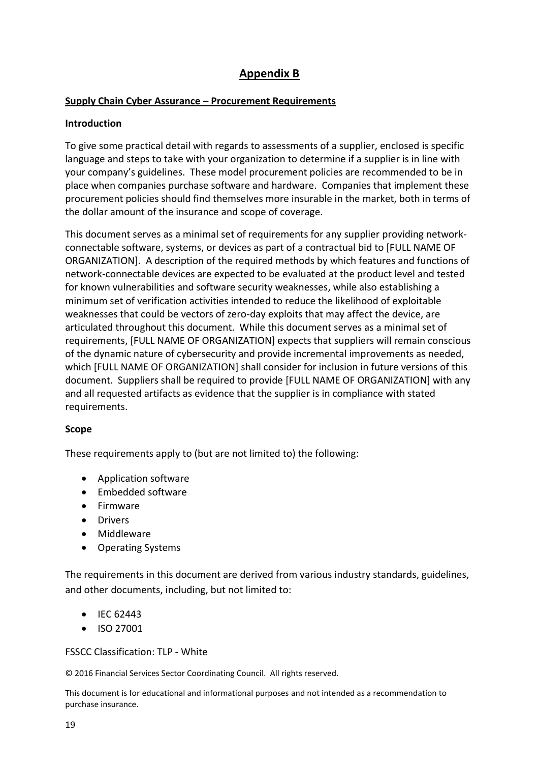# **Appendix B**

### **Supply Chain Cyber Assurance – Procurement Requirements**

#### **Introduction**

To give some practical detail with regards to assessments of a supplier, enclosed is specific language and steps to take with your organization to determine if a supplier is in line with your company's guidelines. These model procurement policies are recommended to be in place when companies purchase software and hardware. Companies that implement these procurement policies should find themselves more insurable in the market, both in terms of the dollar amount of the insurance and scope of coverage.

This document serves as a minimal set of requirements for any supplier providing networkconnectable software, systems, or devices as part of a contractual bid to [FULL NAME OF ORGANIZATION]. A description of the required methods by which features and functions of network-connectable devices are expected to be evaluated at the product level and tested for known vulnerabilities and software security weaknesses, while also establishing a minimum set of verification activities intended to reduce the likelihood of exploitable weaknesses that could be vectors of zero-day exploits that may affect the device, are articulated throughout this document. While this document serves as a minimal set of requirements, [FULL NAME OF ORGANIZATION] expects that suppliers will remain conscious of the dynamic nature of cybersecurity and provide incremental improvements as needed, which [FULL NAME OF ORGANIZATION] shall consider for inclusion in future versions of this document. Suppliers shall be required to provide [FULL NAME OF ORGANIZATION] with any and all requested artifacts as evidence that the supplier is in compliance with stated requirements.

#### **Scope**

These requirements apply to (but are not limited to) the following:

- Application software
- Embedded software
- Firmware
- Drivers
- Middleware
- Operating Systems

The requirements in this document are derived from various industry standards, guidelines, and other documents, including, but not limited to:

- $\bullet$  IEC 62443
- ISO 27001

FSSCC Classification: TLP - White

© 2016 Financial Services Sector Coordinating Council. All rights reserved.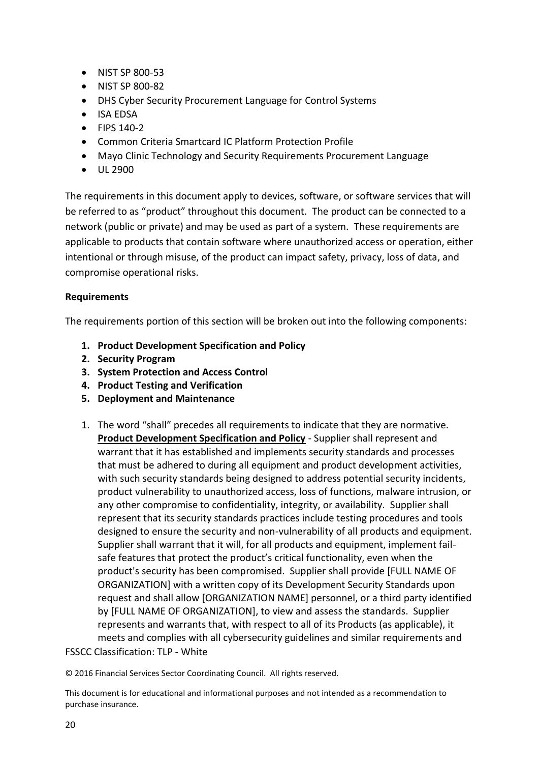- NIST SP 800-53
- NIST SP 800-82
- DHS Cyber Security Procurement Language for Control Systems
- ISA EDSA
- FIPS 140-2
- Common Criteria Smartcard IC Platform Protection Profile
- Mayo Clinic Technology and Security Requirements Procurement Language
- UL 2900

The requirements in this document apply to devices, software, or software services that will be referred to as "product" throughout this document. The product can be connected to a network (public or private) and may be used as part of a system. These requirements are applicable to products that contain software where unauthorized access or operation, either intentional or through misuse, of the product can impact safety, privacy, loss of data, and compromise operational risks.

#### **Requirements**

The requirements portion of this section will be broken out into the following components:

- **1. Product Development Specification and Policy**
- **2. Security Program**
- **3. System Protection and Access Control**
- **4. Product Testing and Verification**
- **5. Deployment and Maintenance**
- FSSCC Classification: TLP White 1. The word "shall" precedes all requirements to indicate that they are normative. **Product Development Specification and Policy** - Supplier shall represent and warrant that it has established and implements security standards and processes that must be adhered to during all equipment and product development activities, with such security standards being designed to address potential security incidents, product vulnerability to unauthorized access, loss of functions, malware intrusion, or any other compromise to confidentiality, integrity, or availability. Supplier shall represent that its security standards practices include testing procedures and tools designed to ensure the security and non-vulnerability of all products and equipment. Supplier shall warrant that it will, for all products and equipment, implement failsafe features that protect the product's critical functionality, even when the product's security has been compromised. Supplier shall provide [FULL NAME OF ORGANIZATION] with a written copy of its Development Security Standards upon request and shall allow [ORGANIZATION NAME] personnel, or a third party identified by [FULL NAME OF ORGANIZATION], to view and assess the standards. Supplier represents and warrants that, with respect to all of its Products (as applicable), it meets and complies with all cybersecurity guidelines and similar requirements and

© 2016 Financial Services Sector Coordinating Council. All rights reserved.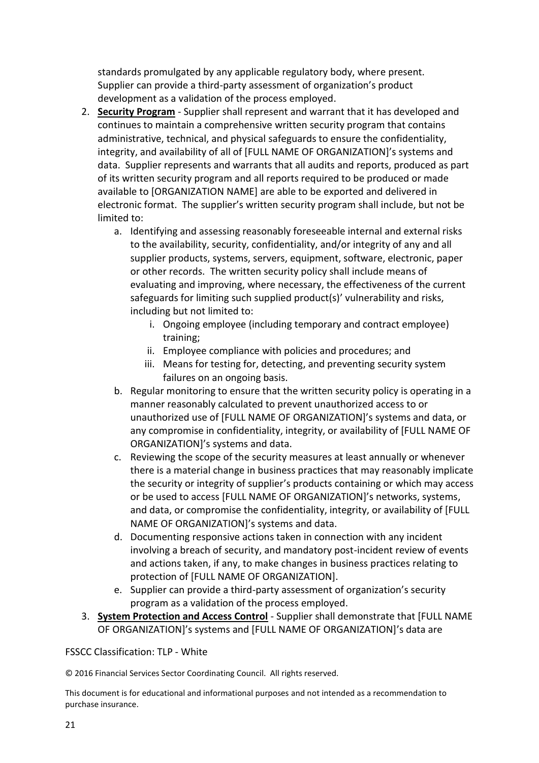standards promulgated by any applicable regulatory body, where present. Supplier can provide a third-party assessment of organization's product development as a validation of the process employed.

- 2. **Security Program** Supplier shall represent and warrant that it has developed and continues to maintain a comprehensive written security program that contains administrative, technical, and physical safeguards to ensure the confidentiality, integrity, and availability of all of [FULL NAME OF ORGANIZATION]'s systems and data. Supplier represents and warrants that all audits and reports, produced as part of its written security program and all reports required to be produced or made available to [ORGANIZATION NAME] are able to be exported and delivered in electronic format. The supplier's written security program shall include, but not be limited to:
	- a. Identifying and assessing reasonably foreseeable internal and external risks to the availability, security, confidentiality, and/or integrity of any and all supplier products, systems, servers, equipment, software, electronic, paper or other records. The written security policy shall include means of evaluating and improving, where necessary, the effectiveness of the current safeguards for limiting such supplied product(s)' vulnerability and risks, including but not limited to:
		- i. Ongoing employee (including temporary and contract employee) training;
		- ii. Employee compliance with policies and procedures; and
		- iii. Means for testing for, detecting, and preventing security system failures on an ongoing basis.
	- b. Regular monitoring to ensure that the written security policy is operating in a manner reasonably calculated to prevent unauthorized access to or unauthorized use of [FULL NAME OF ORGANIZATION]'s systems and data, or any compromise in confidentiality, integrity, or availability of [FULL NAME OF ORGANIZATION]'s systems and data.
	- c. Reviewing the scope of the security measures at least annually or whenever there is a material change in business practices that may reasonably implicate the security or integrity of supplier's products containing or which may access or be used to access [FULL NAME OF ORGANIZATION]'s networks, systems, and data, or compromise the confidentiality, integrity, or availability of [FULL NAME OF ORGANIZATION]'s systems and data.
	- d. Documenting responsive actions taken in connection with any incident involving a breach of security, and mandatory post-incident review of events and actions taken, if any, to make changes in business practices relating to protection of [FULL NAME OF ORGANIZATION].
	- e. Supplier can provide a third-party assessment of organization's security program as a validation of the process employed.
- 3. **System Protection and Access Control** Supplier shall demonstrate that [FULL NAME OF ORGANIZATION]'s systems and [FULL NAME OF ORGANIZATION]'s data are

#### FSSCC Classification: TLP - White

© 2016 Financial Services Sector Coordinating Council. All rights reserved.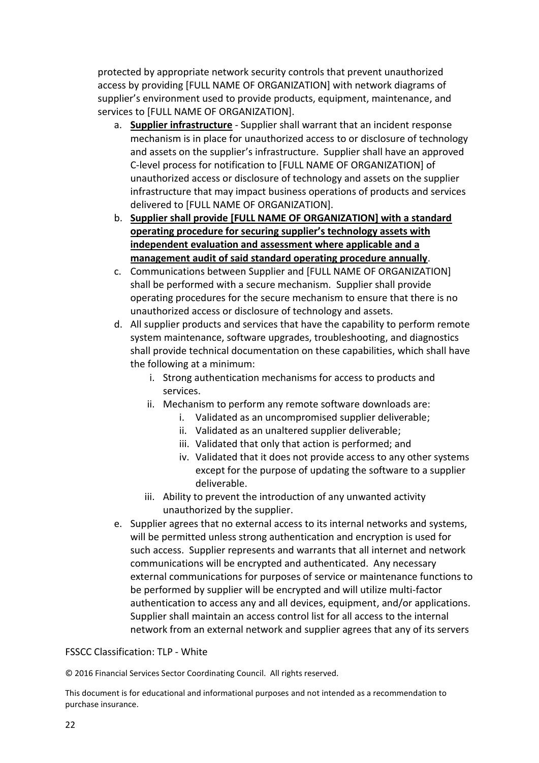protected by appropriate network security controls that prevent unauthorized access by providing [FULL NAME OF ORGANIZATION] with network diagrams of supplier's environment used to provide products, equipment, maintenance, and services to [FULL NAME OF ORGANIZATION].

- a. **Supplier infrastructure** Supplier shall warrant that an incident response mechanism is in place for unauthorized access to or disclosure of technology and assets on the supplier's infrastructure. Supplier shall have an approved C-level process for notification to [FULL NAME OF ORGANIZATION] of unauthorized access or disclosure of technology and assets on the supplier infrastructure that may impact business operations of products and services delivered to [FULL NAME OF ORGANIZATION].
- b. **Supplier shall provide [FULL NAME OF ORGANIZATION] with a standard operating procedure for securing supplier's technology assets with independent evaluation and assessment where applicable and a management audit of said standard operating procedure annually**.
- c. Communications between Supplier and [FULL NAME OF ORGANIZATION] shall be performed with a secure mechanism. Supplier shall provide operating procedures for the secure mechanism to ensure that there is no unauthorized access or disclosure of technology and assets.
- d. All supplier products and services that have the capability to perform remote system maintenance, software upgrades, troubleshooting, and diagnostics shall provide technical documentation on these capabilities, which shall have the following at a minimum:
	- i. Strong authentication mechanisms for access to products and services.
	- ii. Mechanism to perform any remote software downloads are:
		- i. Validated as an uncompromised supplier deliverable;
		- ii. Validated as an unaltered supplier deliverable;
		- iii. Validated that only that action is performed; and
		- iv. Validated that it does not provide access to any other systems except for the purpose of updating the software to a supplier deliverable.
	- iii. Ability to prevent the introduction of any unwanted activity unauthorized by the supplier.
- e. Supplier agrees that no external access to its internal networks and systems, will be permitted unless strong authentication and encryption is used for such access. Supplier represents and warrants that all internet and network communications will be encrypted and authenticated. Any necessary external communications for purposes of service or maintenance functions to be performed by supplier will be encrypted and will utilize multi-factor authentication to access any and all devices, equipment, and/or applications. Supplier shall maintain an access control list for all access to the internal network from an external network and supplier agrees that any of its servers

#### FSSCC Classification: TLP - White

© 2016 Financial Services Sector Coordinating Council. All rights reserved.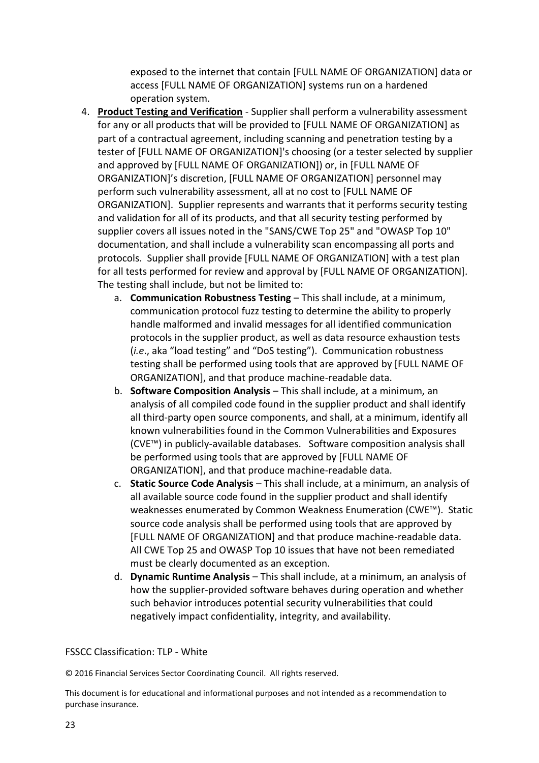exposed to the internet that contain [FULL NAME OF ORGANIZATION] data or access [FULL NAME OF ORGANIZATION] systems run on a hardened operation system.

- 4. **Product Testing and Verification** Supplier shall perform a vulnerability assessment for any or all products that will be provided to [FULL NAME OF ORGANIZATION] as part of a contractual agreement, including scanning and penetration testing by a tester of [FULL NAME OF ORGANIZATION]'s choosing (or a tester selected by supplier and approved by [FULL NAME OF ORGANIZATION]) or, in [FULL NAME OF ORGANIZATION]'s discretion, [FULL NAME OF ORGANIZATION] personnel may perform such vulnerability assessment, all at no cost to [FULL NAME OF ORGANIZATION]. Supplier represents and warrants that it performs security testing and validation for all of its products, and that all security testing performed by supplier covers all issues noted in the "SANS/CWE Top 25" and "OWASP Top 10" documentation, and shall include a vulnerability scan encompassing all ports and protocols. Supplier shall provide [FULL NAME OF ORGANIZATION] with a test plan for all tests performed for review and approval by [FULL NAME OF ORGANIZATION]. The testing shall include, but not be limited to:
	- a. **Communication Robustness Testing**  This shall include, at a minimum, communication protocol fuzz testing to determine the ability to properly handle malformed and invalid messages for all identified communication protocols in the supplier product, as well as data resource exhaustion tests (*i.e*., aka "load testing" and "DoS testing"). Communication robustness testing shall be performed using tools that are approved by [FULL NAME OF ORGANIZATION], and that produce machine-readable data.
	- b. **Software Composition Analysis**  This shall include, at a minimum, an analysis of all compiled code found in the supplier product and shall identify all third-party open source components, and shall, at a minimum, identify all known vulnerabilities found in the Common Vulnerabilities and Exposures (CVE™) in publicly-available databases. Software composition analysis shall be performed using tools that are approved by [FULL NAME OF ORGANIZATION], and that produce machine-readable data.
	- c. **Static Source Code Analysis**  This shall include, at a minimum, an analysis of all available source code found in the supplier product and shall identify weaknesses enumerated by Common Weakness Enumeration (CWE™). Static source code analysis shall be performed using tools that are approved by [FULL NAME OF ORGANIZATION] and that produce machine-readable data. All CWE Top 25 and OWASP Top 10 issues that have not been remediated must be clearly documented as an exception.
	- d. **Dynamic Runtime Analysis**  This shall include, at a minimum, an analysis of how the supplier-provided software behaves during operation and whether such behavior introduces potential security vulnerabilities that could negatively impact confidentiality, integrity, and availability.

#### FSSCC Classification: TLP - White

© 2016 Financial Services Sector Coordinating Council. All rights reserved.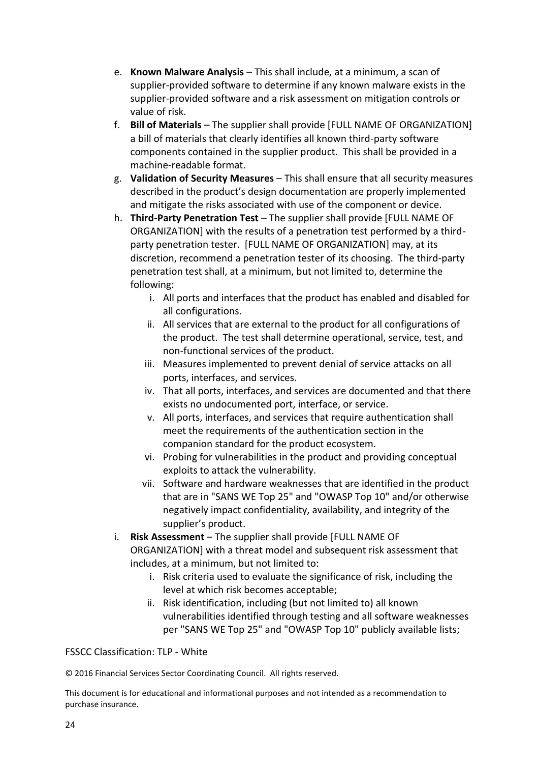- e. **Known Malware Analysis**  This shall include, at a minimum, a scan of supplier-provided software to determine if any known malware exists in the supplier-provided software and a risk assessment on mitigation controls or value of risk.
- f. **Bill of Materials**  The supplier shall provide [FULL NAME OF ORGANIZATION] a bill of materials that clearly identifies all known third-party software components contained in the supplier product. This shall be provided in a machine-readable format.
- g. **Validation of Security Measures** This shall ensure that all security measures described in the product's design documentation are properly implemented and mitigate the risks associated with use of the component or device.
- h. **Third-Party Penetration Test**  The supplier shall provide [FULL NAME OF ORGANIZATION] with the results of a penetration test performed by a thirdparty penetration tester. [FULL NAME OF ORGANIZATION] may, at its discretion, recommend a penetration tester of its choosing. The third-party penetration test shall, at a minimum, but not limited to, determine the following:
	- i. All ports and interfaces that the product has enabled and disabled for all configurations.
	- ii. All services that are external to the product for all configurations of the product. The test shall determine operational, service, test, and non-functional services of the product.
	- iii. Measures implemented to prevent denial of service attacks on all ports, interfaces, and services.
	- iv. That all ports, interfaces, and services are documented and that there exists no undocumented port, interface, or service.
	- v. All ports, interfaces, and services that require authentication shall meet the requirements of the authentication section in the companion standard for the product ecosystem.
	- vi. Probing for vulnerabilities in the product and providing conceptual exploits to attack the vulnerability.
	- vii. Software and hardware weaknesses that are identified in the product that are in "SANS WE Top 25" and "OWASP Top 10" and/or otherwise negatively impact confidentiality, availability, and integrity of the supplier's product.
- i. **Risk Assessment**  The supplier shall provide [FULL NAME OF ORGANIZATION] with a threat model and subsequent risk assessment that includes, at a minimum, but not limited to:
	- i. Risk criteria used to evaluate the significance of risk, including the level at which risk becomes acceptable;
	- ii. Risk identification, including (but not limited to) all known vulnerabilities identified through testing and all software weaknesses per "SANS WE Top 25" and "OWASP Top 10" publicly available lists;

#### FSSCC Classification: TLP - White

© 2016 Financial Services Sector Coordinating Council. All rights reserved.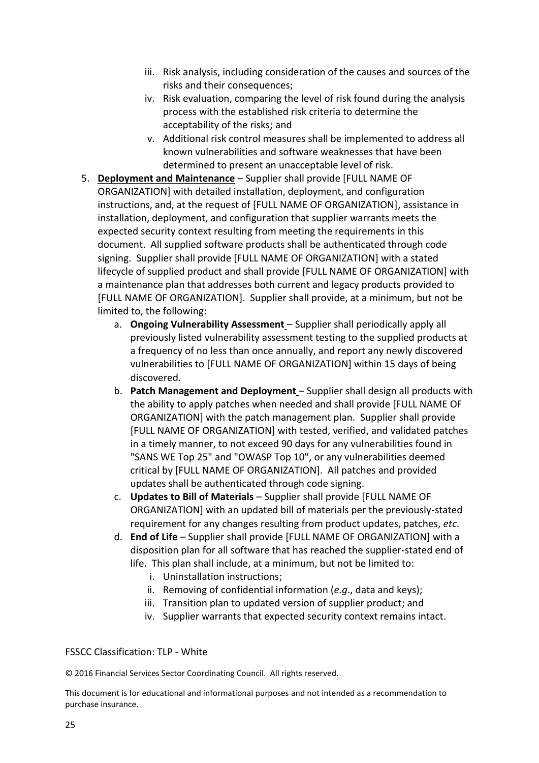- iii. Risk analysis, including consideration of the causes and sources of the risks and their consequences;
- iv. Risk evaluation, comparing the level of risk found during the analysis process with the established risk criteria to determine the acceptability of the risks; and
- v. Additional risk control measures shall be implemented to address all known vulnerabilities and software weaknesses that have been determined to present an unacceptable level of risk.
- 5. **Deployment and Maintenance** Supplier shall provide [FULL NAME OF ORGANIZATION] with detailed installation, deployment, and configuration instructions, and, at the request of [FULL NAME OF ORGANIZATION], assistance in installation, deployment, and configuration that supplier warrants meets the expected security context resulting from meeting the requirements in this document. All supplied software products shall be authenticated through code signing. Supplier shall provide [FULL NAME OF ORGANIZATION] with a stated lifecycle of supplied product and shall provide [FULL NAME OF ORGANIZATION] with a maintenance plan that addresses both current and legacy products provided to [FULL NAME OF ORGANIZATION]. Supplier shall provide, at a minimum, but not be limited to, the following:
	- a. **Ongoing Vulnerability Assessment** Supplier shall periodically apply all previously listed vulnerability assessment testing to the supplied products at a frequency of no less than once annually, and report any newly discovered vulnerabilities to [FULL NAME OF ORGANIZATION] within 15 days of being discovered.
	- b. **Patch Management and Deployment** Supplier shall design all products with the ability to apply patches when needed and shall provide [FULL NAME OF ORGANIZATION] with the patch management plan. Supplier shall provide [FULL NAME OF ORGANIZATION] with tested, verified, and validated patches in a timely manner, to not exceed 90 days for any vulnerabilities found in "SANS WE Top 25" and "OWASP Top 10", or any vulnerabilities deemed critical by [FULL NAME OF ORGANIZATION]. All patches and provided updates shall be authenticated through code signing.
	- c. **Updates to Bill of Materials**  Supplier shall provide [FULL NAME OF ORGANIZATION] with an updated bill of materials per the previously-stated requirement for any changes resulting from product updates, patches, *etc*.
	- d. **End of Life**  Supplier shall provide [FULL NAME OF ORGANIZATION] with a disposition plan for all software that has reached the supplier-stated end of life. This plan shall include, at a minimum, but not be limited to:
		- i. Uninstallation instructions;
		- ii. Removing of confidential information (*e.g*., data and keys);
		- iii. Transition plan to updated version of supplier product; and
		- iv. Supplier warrants that expected security context remains intact.

#### FSSCC Classification: TLP - White

© 2016 Financial Services Sector Coordinating Council. All rights reserved.